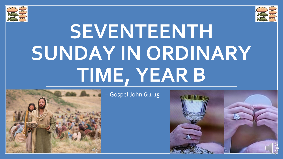



# **SEVENTEENTH SUNDAY IN ORDINARY TIME, YEAR B**



– Gospel John 6:1-15

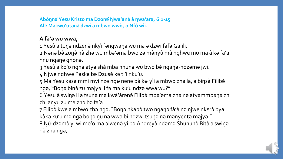**Àbòŋnǝ̀Yesu Kristò ma Dzonə̀Ŋwà'anǝ̀ â ŋwa'arǝ, 6:1-15 All: Mәkwu'utәnә̀dzwi a mbwo wwò, o Nfò wìi.**

#### **A fǝ̀'ǝ wu wwa,**

1 Yesù a tuŋǝ ndzenǝ̀ nkyì fǝngwaŋǝ wu ma ǝ dzwi fǝfǝ Galili.

2 Nǝnǝ bǝ̀ zoŋǝ̀ nǝ̀ zhǝ wu mbǝ'ǝma bwo zǝ mǝ̀nyù mâ nghwe mu ma â kǝ fa'a nnu ngaŋǝ ghonǝ.

3 Yesù a ko'o nghǝ atyǝ shà mba nnunǝ wu bwo bǝ̀ ngaŋǝ-ndzǝmǝ jwi.

4 Njwe nghwe Paska bǝ Dzusǝ̀ kǝ ti'i nku'u.

5 Ma Yesu kǝsǝ mmi myi nzǝ ngǝ nǝnǝ bǝ̀ kǝ yìi a mbwo zhǝ la, a biŋsǝ̀ Filibǝ̀ ngǝ, "Boŋǝ binǝ̀ zu mǝjyǝ li fǝ mǝ ku'u ndzǝ wwa wu?"

6 Yesù â swiŋǝ li a tsuŋǝ mǝ kwà'àrǝnǝ̀ Filibǝ̀ mbǝ'ǝma zhǝ nǝ atyǝmmbǝŋǝ zhi zhi anyù zu ma zha ba fa'a.

7 Filibǝ̀ kwe a mbwo zhǝ ngǝ, "Boŋǝ nkabǝ̀ two ngaŋǝ fà'à nǝ njwe nkɛrǝ̀ bya kàkǝ ku'u mǝ ngǝ boŋǝ ŋu nǝ wwa bî ndzwi tsuŋǝ nǝ̀ mǝnyentǝ̀ mǝjyǝ." 8 Ŋù-dzə̀mə̀ yi wi mò'o ma əlwenə̀ yi bə Andreyà ndəmə Shununə̀ Bità a swiŋə nǝ̀ zhǝ ngǝ,

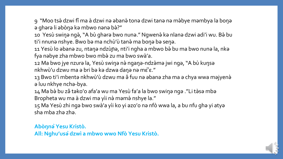9 "Moo tsǝ̀ dzwi fî ma à dzwi nǝ ǝbanǝ̀ tonǝ dzwi tanǝ nǝ mǝ̀bye mǝmbya la boŋǝ ǝ ghǝrǝ li ǝbòŋǝ kǝ mbwo nǝnǝ bǝ̀?"

10 Yesù swiŋə ngə̀, "A bù ghərə bwo nunə." Ngwenə̀ kə nlanə dzwi adi'i wu. Bə̀ bu ti'i nnunǝ nshye. Bwo bǝ ma nchù'ù tanǝ̀ ma boŋǝ bǝ seŋǝ.

11 Yesù lo ǝbanǝ zu, ntaŋǝ ndzùɲǝ, nti'i ngha a mbwo bè bu ma bwo nunǝ la, nkǝ fya nabye zha mbwo bwo mbà zu ma bwo swà'a.

12 Ma bwo jye nzurǝ la, Yesù swiŋǝ nӛ ngaŋǝ-ndzӛmǝ jwi ngǝ, "A bù kuŋsǝ nkhwù'u dzwu ma ǝ bri bǝ kǝ dzwa daŋǝ nǝ mὲ' ε."

13 Bwo ti'i mbentǝ nkhwù'ù dzwu ma ǝ̂ fuu nǝ ǝbanǝ zha ma ǝ chya wwa mǝjyenǝ̀ ǝ luu nkhye nchǝ-bya.

14 Ma bè bu zê təko'o afa'a wu ma Yesù fa'a la bwo swiŋə ngə ."Li tèsə mbə Bropheta wu ma à dzwi ma yìi nà mamà nshye la."

15 Ma Yesù zhi ngǝ bwo swà'a yìi ko yi ǝzo'o nǝ nfò wwa la, a bu nfu ghǝ yi atyǝ sha mba zhǝ zhǝ.

**Abòŋnǝ̀Yesu Kristò. All: Nghu'usǝ̀dzwì a mbwo wwo Nfò Yesu Kristò.**

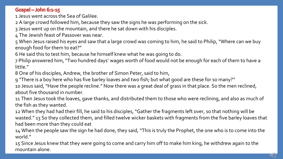#### **Gospel - John 6:1-15**

1 Jesus went across the Sea of Galilee.

2 A large crowd followed him, because they saw the signs he was performing on the sick.

3 Jesus went up on the mountain, and there he sat down with his disciples.

4 The Jewish feast of Passover was near.

5 When Jesus raised his eyes and saw that a large crowd was coming to him, he said to Philip, "Where can we buy enough food for them to eat?"

6 He said this to test him, because he himself knew what he was going to do.

7 Philip answered him, "Two hundred days' wages worth of food would not be enough for each of them to have a little."

8 One of his disciples, Andrew, the brother of Simon Peter, said to him,

9 "There is a boy here who has five barley loaves and two fish; but what good are these for so many?"

10 Jesus said, "Have the people recline." Now there was a great deal of grass in that place. So the men reclined, about five thousand in number.

11 Then Jesus took the loaves, gave thanks, and distributed them to those who were reclining, and also as much of the fish as they wanted.

12 When they had had their fill, he said to his disciples, "Gather the fragments left over, so that nothing will be wasted." 13 So they collected them, and filled twelve wicker baskets with fragments from the five barley loaves that had been more than they could eat

14 When the people saw the sign he had done, they said, "This is truly the Prophet, the one who is to come into the world."

15 Since Jesus knew that they were going to come and carry him off to make him king, he withdrew again to the mountain alone.